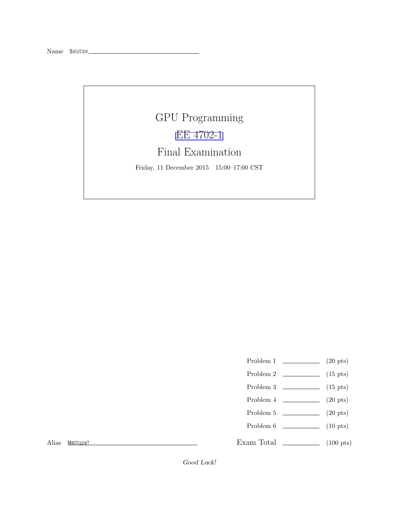## GPU Programming [EE 4702-1](http://www.ece.lsu.edu/koppel/gpup/) Final Examination

Friday, 11 December 2015 15:00–17:00 CST

- Problem 1  $\qquad \qquad$  (20 pts)
- Problem 2  $\qquad \qquad$  (15 pts)
- Problem  $3 \t\t(15 \text{ pts})$
- Problem 4  $\qquad \qquad (20 \text{ pts})$
- Problem 5  $\qquad \qquad$  (20 pts)
- Problem 6 (10 pts)

Exam Total  $\qquad \qquad$  (100 pts)

Alias Methane?

Good Luck!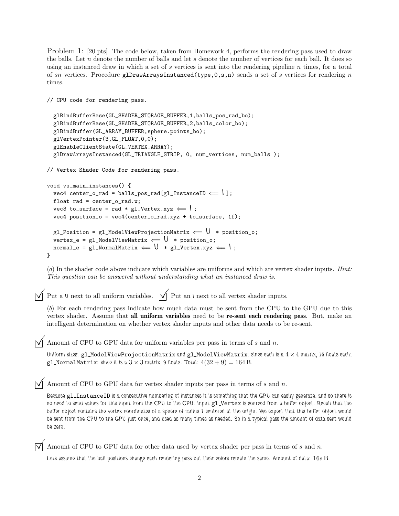Problem 1: [20 pts] The code below, taken from Homework 4, performs the rendering pass used to draw the balls. Let  $n$  denote the number of balls and let  $s$  denote the number of vertices for each ball. It does so using an instanced draw in which a set of s vertices is sent into the rendering pipeline  $n$  times, for a total of sn vertices. Procedure glDrawArraysInstanced(type,  $0, s, n$ ) sends a set of s vertices for rendering n times.

```
// CPU code for rendering pass.
  glBindBufferBase(GL_SHADER_STORAGE_BUFFER,1,balls_pos_rad_bo);
  glBindBufferBase(GL_SHADER_STORAGE_BUFFER,2,balls_color_bo);
  glBindBuffer(GL_ARRAY_BUFFER,sphere.points_bo);
  glVertexPointer(3,GL_FLOAT,0,0);
  glEnableClientState(GL_VERTEX_ARRAY);
  glDrawArraysInstanced(GL_TRIANGLE_STRIP, 0, num_vertices, num_balls );
// Vertex Shader Code for rendering pass.
void vs_main_instances() {
  vec4 center_o_rad = balls_pos_rad[gl_InstanceID \Leftarrow | ];
  float rad = center_0\_rad.w;vec3 to_surface = rad * gl_Vertex.xyz \Leftarrow |;
  vec4 position_o = vec4(center_o_rad.xyz + to_surface, 1f);
  gl_Position = gl_ModelViewProjectionMatrix \Leftarrow \mathsf{U} * position_o;
  vertex_e = gl_ModelViewMatrix \Leftarrow \cup * position_o;
  normal_e = g1_NormalMatrix \leftarrow V * g1_Vertexxyz \leftarrow 1;
}
```
(*a*) In the shader code above indicate which variables are uniforms and which are vertex shader inputs. *Hint: This question can be answered without understanding what an instanced draw is.*

 $\overrightarrow{\mathsf{q}}$  Put a U next to all uniform variables.  $\overrightarrow{\mathsf{q}}$  Put an I next to all vertex shader inputs.

(*b*) For each rendering pass indicate how much data must be sent from the CPU to the GPU due to this vertex shader. Assume that all uniform variables need to be re-sent each rendering pass. But, make an intelligent determination on whether vertex shader inputs and other data needs to be re-sent.

Amount of CPU to GPU data for uniform variables per pass in terms of <sup>s</sup> and <sup>n</sup>.

Uniform sizes:  $g1$  ModelViewProjectionMatrix and  $g1$  ModelViewMatrix: since each is a  $4 \times 4$  matrix, 16 floats each; gl NormalMatrix: since it is a  $3 \times 3$  matrix, 9 floats. Total:  $4(32 + 9) = 164$  B.

Amount of CPU to GPU data for vertex shader inputs per pass in terms of  $s$  and  $n$ .

Because gl\_InstanceID is a consecutive numbering of instances it is something that the GPU can easily generate, and so there is no need to send values for this input from the CPU to the GPU. Input gl\_Vertex is sourced from a buffer object. Recall that the buffer object contains the vertex coordinates of a sphere of radius 1 centered at the origin. We expect that this buffer object would be sent from the CPU to the GPU just once, and used as many times as needed. So in a typical pass the amount of data sent would be zero.

Amount of CPU to GPU data for other data used by vertex shader per pass in terms of  $s$  and  $n$ .

Lets assume that the ball positions change each rendering pass but their colors remain the same. Amount of data: 16s B.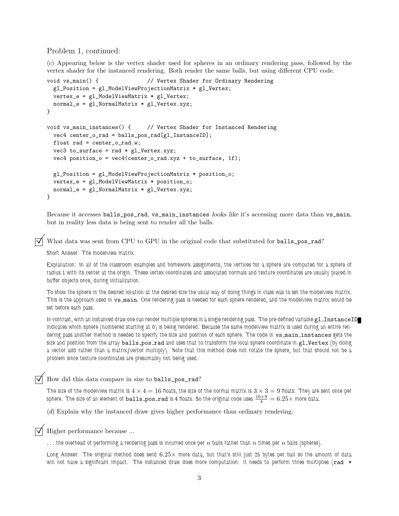## Problem 1, continued:

(*c*) Appearing below is the vertex shader used for spheres in an ordinary rendering pass, followed by the vertex shader for the instanced rendering. Both render the same balls, but using different CPU code.

```
void vs_main() { // Vertex Shader for Ordinary Rendering
  gl_Position = gl_ModelViewProjectionMatrix * gl_Vertex;
  vertex_e = gl_ModelViewMatrix * gl_Vertex;
 normal_e = gl_NormalMatrix * gl_Vertex.xyz;
}
void vs_main_instances() { // Vertex Shader for Instanced Rendering
 vec4 center_o_rad = balls_pos_rad[gl_InstanceID];
 float rad = center_o_rad.w;
 vec3 to_surface = rad * g1_Vertex.xyz;
 vec4 position_o = vec4(center_o_rad.xyz + to_surface, 1f);
 gl_Position = gl_ModelViewProjectionMatrix * position_o;
 vertex_e = gl_ModelViewMatrix * position_o;
 normal_e = gl_NormalMatrix * gl_Vertex.xyz;
}
```
Because it accesses balls\_pos\_rad, vs\_main\_instances looks like it's accessing more data than vs\_main, but in reality less data is being sent to render all the balls.

What data was sent from CPU to GPU in the original code that substituted for balls\_pos\_rad?

Short Answer: The modelview matrix.

Explanation: In all of the classroom examples and homework assignments, the vertices for a sphere are computed for a sphere of radius 1 with its center at the origin. These vertex coordinates and associated normals and texture coordinates are usually placed in buffer objects once, during initialization.

To show the sphere in the desired location at the desired size the usual way of doing things in class was to set the modelview matrix. This is the approach used in vs\_main. One rendering pass is needed for each sphere rendered, and the modelview matrix would be set before each pass.

In contrast, with an instanced draw one can render multiple spheres in a single rendering pass. The pre-defined variable gl\_InstanceID indicates which sphere (numbered starting at 0) is being rendered. Because the same modelview matrix is used during an entire rendering pass another method is needed to specify the size and position of each sphere. The code in  $v$ s\_main\_instances gets the size and position from the array balls\_pos\_rad and uses that to transform the local sphere coordinate in gl\_Vertex (by doing a vector add rather than a matrix/vector multiply). Note that this method does not rotate the sphere, but that should not be a problem since texture coordinates are presumably not being used.

How did this data compare in size to balls\_pos\_rad?

The size of the modelview matrix is  $4\times 4=16$  floats, the size of the normal matrix is  $3\times 3=9$  floats. They are sent once per sphere. The size of an element of  ${\tt balls\_pos\_rad}$  is 4 floats. So the original code uses  $\frac{16+9}{4}=6.25\times$  more data.

(*d*) Explain why the instanced draw gives higher performance than ordinary rendering.

Higher performance because ...

 $\dots$  the overhead of performing a rendering pass is incurred once per  $n$  balls rather than  $n$  times per  $n$  balls (spheres).

Long Answer: The original method does send  $6.25\times$  more data, but that's still just 25 bytes per ball so the amount of data will not have a significant impact. The instanced draw does more computation: it needs to perform three multiplies ( $rad *$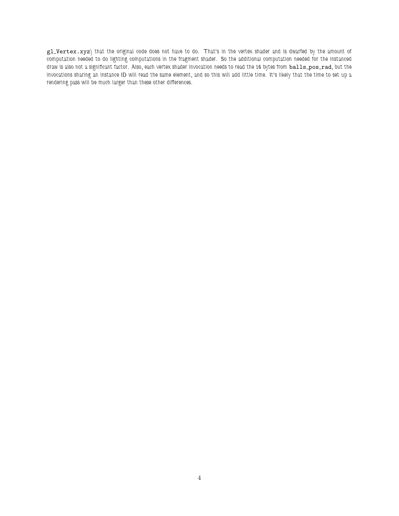gl\_Vertex.xyz) that the original code does not have to do. That's in the vertex shader and is dwarfed by the amount of computation needed to do lighting computations in the fragment shader. So the additional computation needed for the instanced draw is also not a significant factor. Also, each vertex shader invocation needs to read the 16 bytes from balls\_pos\_rad, but the invocations sharing an instance ID will read the same element, and so this will add little time. It's likely that the time to set up a rendering pass will be much larger than these other differences.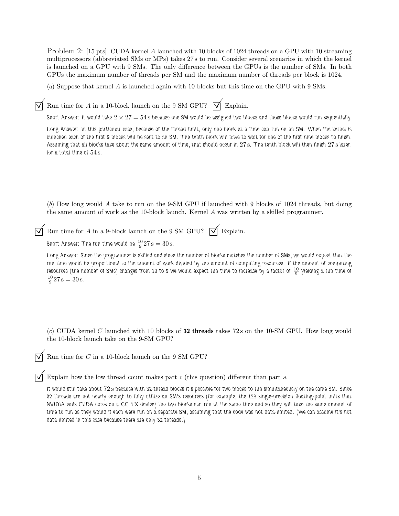Problem 2: [15 pts] CUDA kernel A launched with 10 blocks of 1024 threads on a GPU with 10 streaming multiprocessors (abbreviated SMs or MPs) takes 27 s to run. Consider several scenarios in which the kernel is launched on a GPU with 9 SMs. The only difference between the GPUs is the number of SMs. In both GPUs the maximum number of threads per SM and the maximum number of threads per block is 1024.

(*a*) Suppose that kernel A is launched again with 10 blocks but this time on the GPU with 9 SMs.

 $\overline{\bigtriangledown}$  Run time for A in a 10-block launch on the 9 SM GPU?  $\overline{\bigtriangledown}$  Explain.

Short Answer: It would take  $2 \times 27 = 54$  s because one SM would be assigned two blocks and those blocks would run sequentially.

Long Answer: In this particular case, because of the thread limit, only one block at a time can run on an SM. When the kernel is launched each of the first 9 blocks will be sent to an SM. The tenth block will have to wait for one of the first nine blocks to finish. Assuming that all blocks take about the same amount of time, that should occur in 27 s. The tenth block will then finish 27 s later, for a total time of  $54 \text{ s}$ .

(*b*) How long would A take to run on the 9-SM GPU if launched with 9 blocks of 1024 threads, but doing the same amount of work as the 10-block launch. Kernel A was written by a skilled programmer.

| $\overrightarrow{\mathcal{A}}$ Run time for A in a 9-block launch on the 9 SM GPU? $\overrightarrow{\mathcal{A}}$ Explain. |  |
|----------------------------------------------------------------------------------------------------------------------------|--|
|                                                                                                                            |  |

Short Answer: The run time would be  $\frac{10}{9}$ 27 s  $= 30$  s.

Long Answer: Since the programmer is skilled and since the number of blocks matches the number of SMs, we would expect that the run time would be proportional to the amount of work divided by the amount of computing resources. If the amount of computing resources (the number of SMs) changes from 10 to 9 we would expect run time to increase by a factor of  $\frac{10}9$  yielding a run time of  $\frac{10}{9}$ 27 s = 30 s.

(*c*) CUDA kernel C launched with 10 blocks of 32 threads takes 72 s on the 10-SM GPU. How long would the 10-block launch take on the 9-SM GPU?

Run time for  $C$  in a 10-block launch on the 9 SM GPU?

Explain how the low thread count makes part <sup>c</sup> (this question) different than part <sup>a</sup>.

It would still take about 72 s because with 32-thread blocks it's possible for two blocks to run simultaneously on the same SM. Since 32 threads are not nearly enough to fully utilize an SM's resources (for example, the 128 single-precision floating-point units that NVIDIA calls CUDA cores on a CC 4.X device) the two blocks can run at the same time and so they will take the same amount of time to run as they would if each were run on a separate SM, assuming that the code was not data-limited. (We can assume it's not data limited in this case because there are only 32 threads.)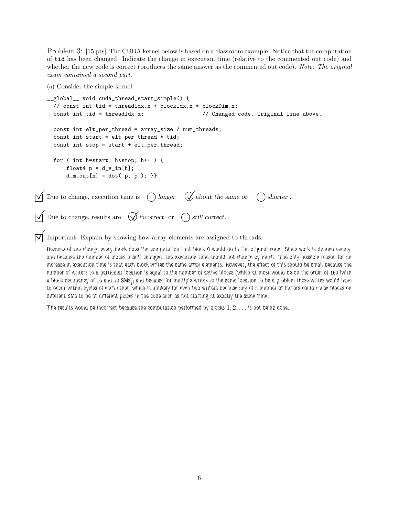Problem 3: [15 pts] The CUDA kernel below is based on a classroom example. Notice that the computation of tid has been changed. Indicate the change in execution time (relative to the commented out code) and whether the new code is correct (produces the same answer as the commented out code). *Note: The original exam contained a second part.*

(*a*) Consider the simple kernel:

```
__global__ void cuda_thread_start_simple() {
      // const int tid = threadIdx.x + blockIdx.x * blockDim.x;
      const int tid = threadIdx.x; \frac{1}{2} // Changed code. Original line above.
      const int elt_per_thread = array_size / num_threads;
      const int start = elt_per_thread * tid;
      const int stop = start + elt_per_thread;
      for ( int h=start; h<stop; h++ ) {
           float4 p = d_v_in[h];
           d_{m_{out}}[h] = dot(p, p);\Box Due to change, execution time is \bigcap longer \bigotimes about the same or \bigcap shorter.
\overrightarrow{\bigvee} Due to change, results are \overrightarrow{\bigvee} incorrect or \bigcirc still correct.
```
 $\triangledown$  Important: Explain by showing how array elements are assigned to threads.

Because of the change every block does the computation that block 0 would do in the original code. Since work is divided evenly, and because the number of blocks hasn't changed, the execution time should not change by much. The only possible reason for an increase in execution time is that each block writes the same array elements. However, the effect of this should be small because the number of writers to a particular location is equal to the number of active blocks (which at most would be on the order of 160 [with a block occupancy of 16 and 10 SMs]) and because for multiple writes to the same location to be a problem those writes would have to occur within cycles of each other, which is unlikely for even two writers because any of a number of factors could cause blocks on different SMs to be at different places in the code such as not starting at exactly the same time.

The results would be incorrect because the computation performed by blocks  $1, 2, \ldots$  is not being done.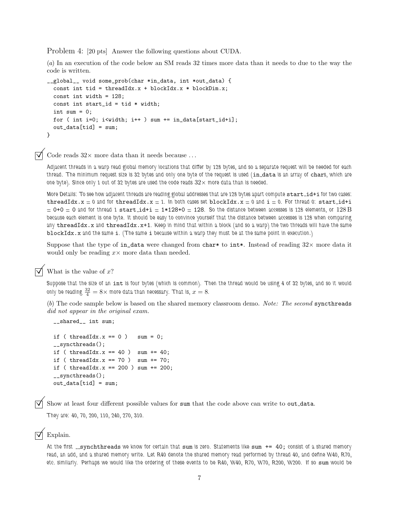Problem 4: [20 pts] Answer the following questions about CUDA.

(*a*) In an execution of the code below an SM reads 32 times more data than it needs to due to the way the code is written.

```
__global__ void some_prob(char *in_data, int *out_data) {
  const int tid = threadIdx.x + blockIdx.x * blockDim.x;
  const int width = 128;
  const int start_id = tid * width;
  int sum = 0;
  for ( int i=0; i<width; i++ ) sum += in_data[start_id+i];
  out_data[tid] = sum;}
```
Code reads  $32\times$  more data than it needs because . . .

Adjacent threads in a warp read global memory locations that differ by 128 bytes, and so a separate request will be needed for each thread. The minimum request size is 32 bytes and only one byte of the request is used (in\_data is an array of chars, which are one byte). Since only 1 out of 32 bytes are used the code reads  $32\times$  more data than is needed.

More Details: To see how adjacent threads are reading global addresses that are 128 bytes apart compute start\_id+i for two cases: threadIdx.x  $= 0$  and for threadIdx.x  $= 1$ . In both cases set blockIdx.x  $= 0$  and  $i = 0$ . For thread 0: start\_id+i  $= 0+0 = 0$  and for thread 1 start\_id+i  $= 1*128+0 = 128$ . So the distance between accesses is 128 elements, or  $128$  B because each element is one byte. It should be easy to convince yourself that the distance between accesses is 128 when comparing any  $threadIdx.x$  and  $threadIdx.x+1$ . Keep in mind that within a block (and so a warp) the two threads will have the same blockIdx.x and the same i. (The same i because within a warp they must be at the same point in execution.)

Suppose that the type of in\_data were changed from char\* to int\*. Instead of reading  $32\times$  more data it would only be reading  $x \times$  more data than needed.

 $\triangledown$  What is the value of x?

Suppose that the size of an int is four bytes (which is common). Then the thread would be using 4 of 32 bytes, and so it would only be reading  $\frac{32}{4} = 8 \times$  more data than necessary. That is,  $x=8.1$ 

(*b*) The code sample below is based on the shared memory classroom demo. *Note: The second* syncthreads *did not appear in the original exam.*

```
__shared__ int sum;
if ( threadIdx.x == 0 ) sum = 0;
__syncthreads();
if ( threadIdx.x == 40 ) sum += 40;
if ( threadIdx.x == 70 ) sum += 70;
if ( threadIdx.x == 200 ) sum += 200;
__syncthreads();
out_data[tid] = sum;
```
Show at least four different possible values for sum that the code above can write to out\_data.

They are: 40, 70, 200, 110, 240, 270, 310.

## Explain.

At the first  $\frac{1}{2}$  synchthreads we know for certain that sum is zero. Statements like sum  $+= 40$ ; consist of a shared memory read, an add, and a shared memory write. Let R40 denote the shared memory read performed by thread 40, and define W40, R70, etc. similarly. Perhaps we would like the ordering of these events to be R40, W40, R70, W70, R200, W200. If so sum would be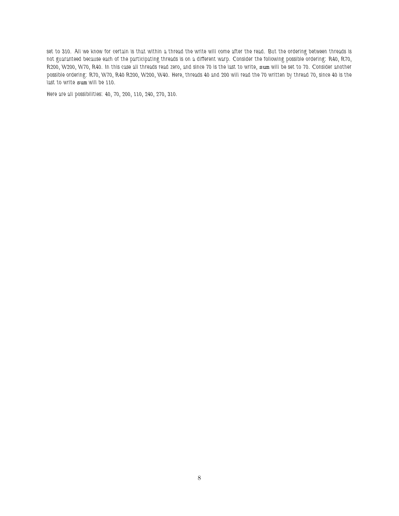set to 310. All we know for certain is that within a thread the write will come after the read. But the ordering between threads is not guaranteed because each of the participating threads is on a different warp. Consider the following possible ordering: R40, R70, R200, W200, W70, R40. In this case all threads read zero, and since 70 is the last to write, sum will be set to 70. Consider another possible ordering: R70, W70, R40 R200, W200, W40. Here, threads 40 and 200 will read the 70 written by thread 70, since 40 is the last to write sum will be 110.

Here are all possibilities: 40, 70, 200, 110, 240, 270, 310.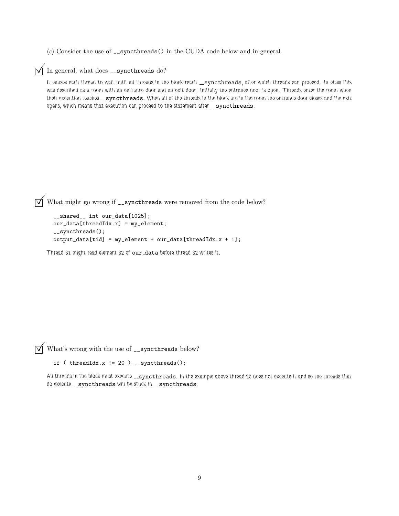(*c*) Consider the use of \_\_syncthreads() in the CUDA code below and in general.

 $\sqrt{\phantom{a}}$  In general, what does \_\_syncthreads do?

It causes each thread to wait until all threads in the block reach \_syncthreads, after which threads can proceed. In class this was described as a room with an entrance door and an exit door. Initially the entrance door is open. Threads enter the room when their execution reaches \_syncthreads. When all of the threads in the block are in the room the entrance door closes and the exit opens, which means that execution can proceed to the statement after \_syncthreads.

 $\overrightarrow{V}$  What might go wrong if \_\_syncthreads were removed from the code below?

```
__shared__ int our_data[1025];
our_data[threadIdx.x] = my_element;
__syncthreads();
output_data[tid] = my_element + our_data[threadIdx.x + 1];
```
Thread 31 might read element 32 of our data before thread 32 writes it.

 $\overrightarrow{\mathsf{W}}$  What's wrong with the use of  $\overrightarrow{\mathsf{L}}$  syncthreads below?

```
if ( threadIdx.x != 20 )  _<sub>2</sub> syntbreads();
```
All threads in the block must execute \_\_syncthreads. In the example above thread 20 does not execute it and so the threads that do execute \_\_ syncthreads will be stuck in \_\_ syncthreads.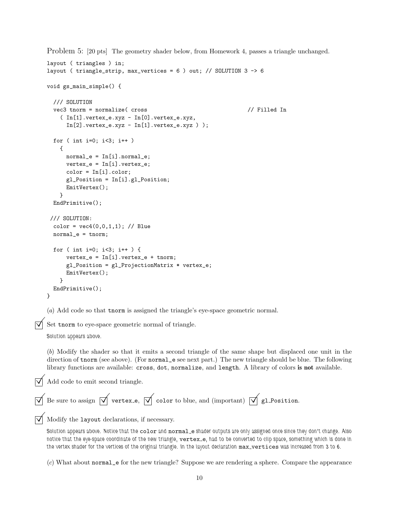Problem 5: [20 pts] The geometry shader below, from Homework 4, passes a triangle unchanged.

```
layout ( triangles ) in;
    layout ( triangle_strip, max_vertices = 6 ) out; // SOLUTION 3 -> 6
    void gs_main_simple() {
      /// SOLUTION
      vec3 tnorm = normalize( cross // Filled In
         ( In[1].vertex_e.xyz - In[0].vertex_e.xyz,
           In [2].vertex_e.xyz - In [1].vertex_e.xyz);
      for ( int i=0; i<3; i++ )
        {
           normal_e = In[i].normal_e;vertex_e = In[i].vertex_e;
           color = In[i].color;
           gl_Position = In[i].gl_Position;
          EmitVertex();
         }
      EndPrimitive();
     /// SOLUTION:
      color = vec4(0, 0, 1, 1); // Bluenormal_e = tnorm;
      for ( int i=0; i<3; i++ ) {
           vertex_e = In[i].vertex_e + torn;gl_Position = gl_ProjectionMatrix * vertex_e;
           EmitVertex();
         }
      EndPrimitive();
    }
    (a) Add code so that tnorm is assigned the triangle's eye-space geometric normal.
    Set tnorm to eye-space geometric normal of triangle.
    Solution appears above.
    (b) Modify the shader so that it emits a second triangle of the same shape but displaced one unit in the
    direction of tnorm (see above). (For normal_e see next part.) The new triangle should be blue. The following
    library functions are available: cross, dot, normalize, and length. A library of colors is not available.
\nabla Add code to emit second triangle.
 \overrightarrow{\Lambda} Be sure to assign \overrightarrow{\Lambda} vertex e, \overrightarrow{\Lambda} color to blue, and (important) \overrightarrow{\Lambda} gl Position.
\triangledown Modify the layout declarations, if necessary.
    Solution appears above. Notice that the color and normal e shader outputs are only assigned once since they don't change. Also
    notice that the eye-space coordinate of the new triangle, vertex_e, had to be converted to clip space, something which is done in
    the vertex shader for the vertices of the original triangle. In the layout declaration max_vertices was increased from 3 to 6.
```
(*c*) What about normal\_e for the new triangle? Suppose we are rendering a sphere. Compare the appearance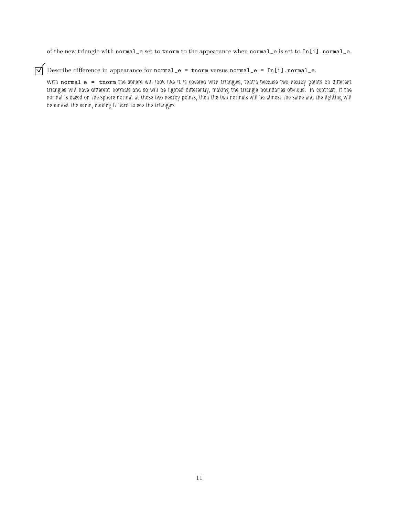of the new triangle with normal\_e set to tnorm to the appearance when normal\_e is set to In[i].normal\_e.

 $\overrightarrow{\mathcal{A}}$  Describe difference in appearance for normal\_e = tnorm versus normal\_e = In[i].normal\_e.

With normale = tnorm the sphere will look like it is covered with triangles, that's because two nearby points on different triangles will have different normals and so will be lighted differently, making the triangle boundaries obvious. In contrast, if the normal is based on the sphere normal at those two nearby points, then the two normals will be almost the same and the lighting will be almost the same, making it hard to see the triangles.